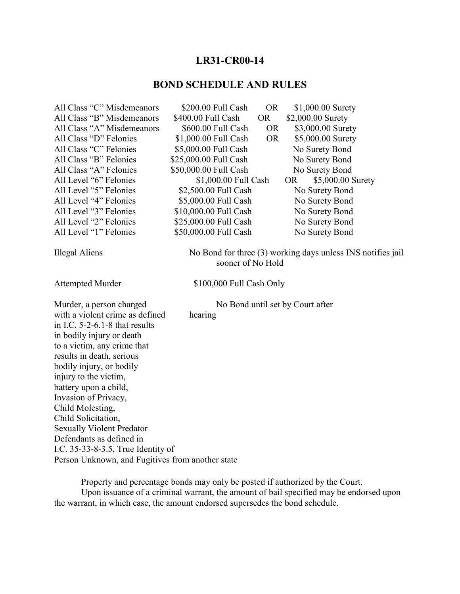## **LR31-CR00-14**

## **BOND SCHEDULE AND RULES**

| All Class "C" Misdemeanors                       | \$200.00 Full Cash       | <b>OR</b> | \$1,000.00 Surety                                           |  |
|--------------------------------------------------|--------------------------|-----------|-------------------------------------------------------------|--|
| All Class "B" Misdemeanors                       | \$400.00 Full Cash       | <b>OR</b> | \$2,000.00 Surety                                           |  |
| All Class "A" Misdemeanors                       | \$600.00 Full Cash       | <b>OR</b> | \$3,000.00 Surety                                           |  |
| All Class "D" Felonies                           | \$1,000.00 Full Cash     | <b>OR</b> | \$5,000.00 Surety                                           |  |
| All Class "C" Felonies                           | \$5,000.00 Full Cash     |           | No Surety Bond                                              |  |
| All Class "B" Felonies                           | \$25,000.00 Full Cash    |           | No Surety Bond                                              |  |
| All Class "A" Felonies                           | \$50,000.00 Full Cash    |           | No Surety Bond                                              |  |
| All Level "6" Felonies                           | \$1,000.00 Full Cash     |           | <b>OR</b><br>\$5,000.00 Surety                              |  |
| All Level "5" Felonies                           | \$2,500.00 Full Cash     |           | No Surety Bond                                              |  |
| All Level "4" Felonies                           | \$5,000.00 Full Cash     |           | No Surety Bond                                              |  |
| All Level "3" Felonies                           | \$10,000.00 Full Cash    |           | No Surety Bond                                              |  |
| All Level "2" Felonies                           | \$25,000.00 Full Cash    |           | No Surety Bond                                              |  |
| All Level "1" Felonies                           | \$50,000.00 Full Cash    |           | No Surety Bond                                              |  |
| Illegal Aliens                                   | sooner of No Hold        |           | No Bond for three (3) working days unless INS notifies jail |  |
| <b>Attempted Murder</b>                          | \$100,000 Full Cash Only |           |                                                             |  |
| Murder, a person charged                         |                          |           | No Bond until set by Court after                            |  |
| with a violent crime as defined                  | hearing                  |           |                                                             |  |
| in I.C. $5-2-6.1-8$ that results                 |                          |           |                                                             |  |
| in bodily injury or death                        |                          |           |                                                             |  |
| to a victim, any crime that                      |                          |           |                                                             |  |
| results in death, serious                        |                          |           |                                                             |  |
| bodily injury, or bodily                         |                          |           |                                                             |  |
| injury to the victim,                            |                          |           |                                                             |  |
| battery upon a child,                            |                          |           |                                                             |  |
| Invasion of Privacy,                             |                          |           |                                                             |  |
| Child Molesting,                                 |                          |           |                                                             |  |
| Child Solicitation,                              |                          |           |                                                             |  |
| <b>Sexually Violent Predator</b>                 |                          |           |                                                             |  |
| Defendants as defined in                         |                          |           |                                                             |  |
| I.C. 35-33-8-3.5, True Identity of               |                          |           |                                                             |  |
| Person Unknown, and Fugitives from another state |                          |           |                                                             |  |

Property and percentage bonds may only be posted if authorized by the Court.

Upon issuance of a criminal warrant, the amount of bail specified may be endorsed upon the warrant, in which case, the amount endorsed supersedes the bond schedule.